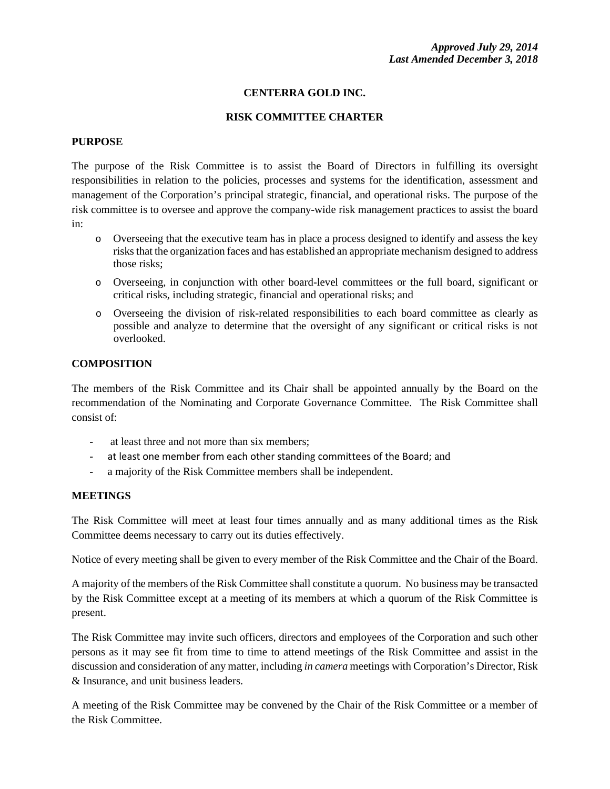## **CENTERRA GOLD INC.**

#### **RISK COMMITTEE CHARTER**

#### **PURPOSE**

The purpose of the Risk Committee is to assist the Board of Directors in fulfilling its oversight responsibilities in relation to the policies, processes and systems for the identification, assessment and management of the Corporation's principal strategic, financial, and operational risks. The purpose of the risk committee is to oversee and approve the company-wide risk management practices to assist the board in:

- o Overseeing that the executive team has in place a process designed to identify and assess the key risks that the organization faces and has established an appropriate mechanism designed to address those risks;
- o Overseeing, in conjunction with other board-level committees or the full board, significant or critical risks, including strategic, financial and operational risks; and
- o Overseeing the division of risk-related responsibilities to each board committee as clearly as possible and analyze to determine that the oversight of any significant or critical risks is not overlooked.

#### **COMPOSITION**

The members of the Risk Committee and its Chair shall be appointed annually by the Board on the recommendation of the Nominating and Corporate Governance Committee. The Risk Committee shall consist of:

- at least three and not more than six members;
- at least one member from each other standing committees of the Board; and
- a majority of the Risk Committee members shall be independent.

#### **MEETINGS**

The Risk Committee will meet at least four times annually and as many additional times as the Risk Committee deems necessary to carry out its duties effectively.

Notice of every meeting shall be given to every member of the Risk Committee and the Chair of the Board.

A majority of the members of the Risk Committee shall constitute a quorum. No business may be transacted by the Risk Committee except at a meeting of its members at which a quorum of the Risk Committee is present.

The Risk Committee may invite such officers, directors and employees of the Corporation and such other persons as it may see fit from time to time to attend meetings of the Risk Committee and assist in the discussion and consideration of any matter, including *in camera* meetings with Corporation's Director, Risk & Insurance, and unit business leaders.

A meeting of the Risk Committee may be convened by the Chair of the Risk Committee or a member of the Risk Committee.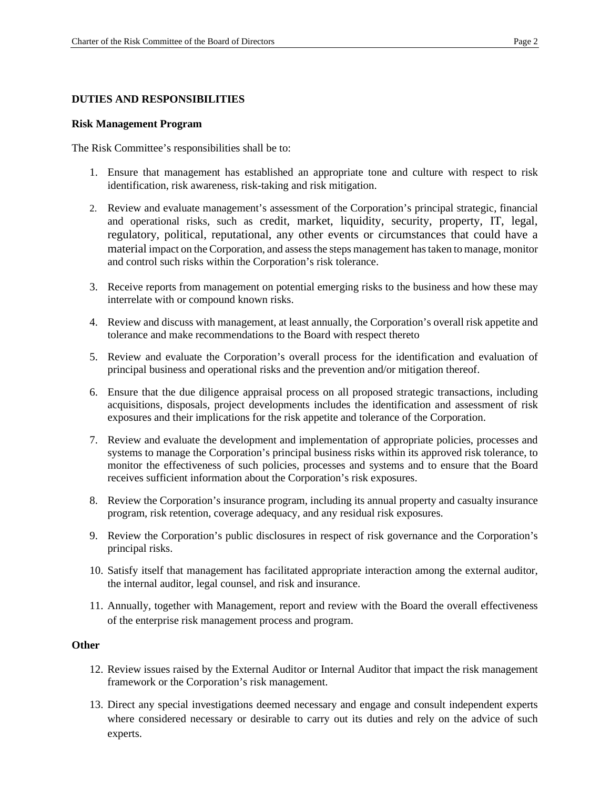#### **DUTIES AND RESPONSIBILITIES**

#### **Risk Management Program**

The Risk Committee's responsibilities shall be to:

- 1. Ensure that management has established an appropriate tone and culture with respect to risk identification, risk awareness, risk-taking and risk mitigation.
- 2. Review and evaluate management's assessment of the Corporation's principal strategic, financial and operational risks, such as credit, market, liquidity, security, property, IT, legal, regulatory, political, reputational, any other events or circumstances that could have a material impact on the Corporation, and assess the steps management has taken to manage, monitor and control such risks within the Corporation's risk tolerance.
- 3. Receive reports from management on potential emerging risks to the business and how these may interrelate with or compound known risks.
- 4. Review and discuss with management, at least annually, the Corporation's overall risk appetite and tolerance and make recommendations to the Board with respect thereto
- 5. Review and evaluate the Corporation's overall process for the identification and evaluation of principal business and operational risks and the prevention and/or mitigation thereof.
- 6. Ensure that the due diligence appraisal process on all proposed strategic transactions, including acquisitions, disposals, project developments includes the identification and assessment of risk exposures and their implications for the risk appetite and tolerance of the Corporation.
- 7. Review and evaluate the development and implementation of appropriate policies, processes and systems to manage the Corporation's principal business risks within its approved risk tolerance, to monitor the effectiveness of such policies, processes and systems and to ensure that the Board receives sufficient information about the Corporation's risk exposures.
- 8. Review the Corporation's insurance program, including its annual property and casualty insurance program, risk retention, coverage adequacy, and any residual risk exposures.
- 9. Review the Corporation's public disclosures in respect of risk governance and the Corporation's principal risks.
- 10. Satisfy itself that management has facilitated appropriate interaction among the external auditor, the internal auditor, legal counsel, and risk and insurance.
- 11. Annually, together with Management, report and review with the Board the overall effectiveness of the enterprise risk management process and program.

#### **Other**

- 12. Review issues raised by the External Auditor or Internal Auditor that impact the risk management framework or the Corporation's risk management.
- 13. Direct any special investigations deemed necessary and engage and consult independent experts where considered necessary or desirable to carry out its duties and rely on the advice of such experts.